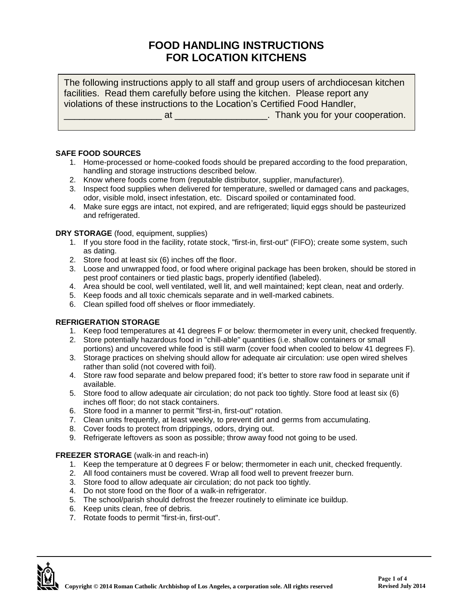# **FOOD HANDLING INSTRUCTIONS FOR LOCATION KITCHENS**

The following instructions apply to all staff and group users of archdiocesan kitchen facilities. Read them carefully before using the kitchen. Please report any violations of these instructions to the Location's Certified Food Handler,

at \_\_\_\_\_\_\_\_\_\_\_\_\_\_\_\_\_\_\_\_\_\_\_\_\_\_\_\_\_. Thank you for your cooperation.

## **SAFE FOOD SOURCES**

- 1. Home-processed or home-cooked foods should be prepared according to the food preparation, handling and storage instructions described below.
- 2. Know where foods come from (reputable distributor, supplier, manufacturer).
- 3. Inspect food supplies when delivered for temperature, swelled or damaged cans and packages, odor, visible mold, insect infestation, etc. Discard spoiled or contaminated food.
- 4. Make sure eggs are intact, not expired, and are refrigerated; liquid eggs should be pasteurized and refrigerated.

#### **DRY STORAGE** (food, equipment, supplies)

- 1. If you store food in the facility, rotate stock, "first-in, first-out" (FIFO); create some system, such as dating.
- 2. Store food at least six (6) inches off the floor.
- 3. Loose and unwrapped food, or food where original package has been broken, should be stored in pest proof containers or tied plastic bags, properly identified (labeled).
- 4. Area should be cool, well ventilated, well lit, and well maintained; kept clean, neat and orderly.
- 5. Keep foods and all toxic chemicals separate and in well-marked cabinets.
- 6. Clean spilled food off shelves or floor immediately.

#### **REFRIGERATION STORAGE**

- 1. Keep food temperatures at 41 degrees F or below: thermometer in every unit, checked frequently.
- 2. Store potentially hazardous food in "chill-able" quantities (i.e. shallow containers or small portions) and uncovered while food is still warm (cover food when cooled to below 41 degrees F).
- 3. Storage practices on shelving should allow for adequate air circulation: use open wired shelves rather than solid (not covered with foil).
- 4. Store raw food separate and below prepared food; it's better to store raw food in separate unit if available.
- 5. Store food to allow adequate air circulation; do not pack too tightly. Store food at least six (6) inches off floor; do not stack containers.
- 6. Store food in a manner to permit "first-in, first-out" rotation.
- 7. Clean units frequently, at least weekly, to prevent dirt and germs from accumulating.
- 8. Cover foods to protect from drippings, odors, drying out.
- 9. Refrigerate leftovers as soon as possible; throw away food not going to be used.

## **FREEZER STORAGE** (walk-in and reach-in)

- 1. Keep the temperature at 0 degrees F or below; thermometer in each unit, checked frequently.
- 2. All food containers must be covered. Wrap all food well to prevent freezer burn.
- 3. Store food to allow adequate air circulation; do not pack too tightly.
- 4. Do not store food on the floor of a walk-in refrigerator.
- 5. The school/parish should defrost the freezer routinely to eliminate ice buildup.
- 6. Keep units clean, free of debris.
- 7. Rotate foods to permit "first-in, first-out".

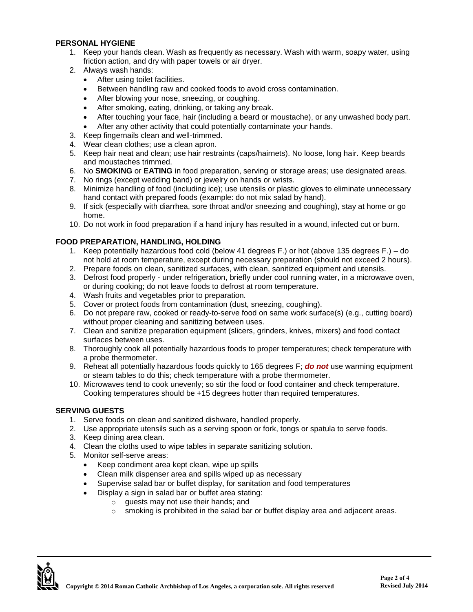## **PERSONAL HYGIENE**

- 1. Keep your hands clean. Wash as frequently as necessary. Wash with warm, soapy water, using friction action, and dry with paper towels or air dryer.
- 2. Always wash hands:
	- After using toilet facilities.
	- Between handling raw and cooked foods to avoid cross contamination.
	- After blowing your nose, sneezing, or coughing.
	- After smoking, eating, drinking, or taking any break.
	- After touching your face, hair (including a beard or moustache), or any unwashed body part.
	- After any other activity that could potentially contaminate your hands.
- 3. Keep fingernails clean and well-trimmed.
- 4. Wear clean clothes; use a clean apron.
- 5. Keep hair neat and clean; use hair restraints (caps/hairnets). No loose, long hair. Keep beards and moustaches trimmed.
- 6. No **SMOKING** or **EATING** in food preparation, serving or storage areas; use designated areas.
- 7. No rings (except wedding band) or jewelry on hands or wrists.
- 8. Minimize handling of food (including ice); use utensils or plastic gloves to eliminate unnecessary hand contact with prepared foods (example: do not mix salad by hand).
- 9. If sick (especially with diarrhea, sore throat and/or sneezing and coughing), stay at home or go home.
- 10. Do not work in food preparation if a hand injury has resulted in a wound, infected cut or burn.

# **FOOD PREPARATION, HANDLING, HOLDING**

- 1. Keep potentially hazardous food cold (below 41 degrees F.) or hot (above 135 degrees F.) do not hold at room temperature, except during necessary preparation (should not exceed 2 hours).
- 2. Prepare foods on clean, sanitized surfaces, with clean, sanitized equipment and utensils.
- 3. Defrost food properly under refrigeration, briefly under cool running water, in a microwave oven, or during cooking; do not leave foods to defrost at room temperature.
- 4. Wash fruits and vegetables prior to preparation.
- 5. Cover or protect foods from contamination (dust, sneezing, coughing).
- 6. Do not prepare raw, cooked or ready-to-serve food on same work surface(s) (e.g., cutting board) without proper cleaning and sanitizing between uses.
- 7. Clean and sanitize preparation equipment (slicers, grinders, knives, mixers) and food contact surfaces between uses.
- 8. Thoroughly cook all potentially hazardous foods to proper temperatures; check temperature with a probe thermometer.
- 9. Reheat all potentially hazardous foods quickly to 165 degrees F; *do not* use warming equipment or steam tables to do this; check temperature with a probe thermometer.
- 10. Microwaves tend to cook unevenly; so stir the food or food container and check temperature. Cooking temperatures should be +15 degrees hotter than required temperatures.

## **SERVING GUESTS**

- 1. Serve foods on clean and sanitized dishware, handled properly.
- 2. Use appropriate utensils such as a serving spoon or fork, tongs or spatula to serve foods.
- 3. Keep dining area clean.
- 4. Clean the cloths used to wipe tables in separate sanitizing solution.
- 5. Monitor self-serve areas:
	- Keep condiment area kept clean, wipe up spills
	- Clean milk dispenser area and spills wiped up as necessary
	- Supervise salad bar or buffet display, for sanitation and food temperatures
		- Display a sign in salad bar or buffet area stating:
			- o guests may not use their hands; and
			- $\circ$  smoking is prohibited in the salad bar or buffet display area and adjacent areas.

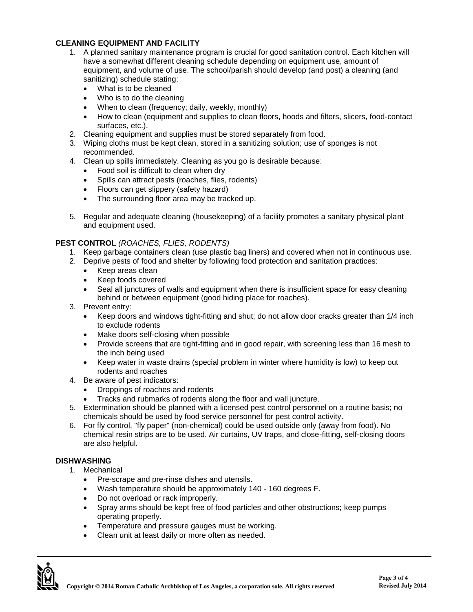# **CLEANING EQUIPMENT AND FACILITY**

- 1. A planned sanitary maintenance program is crucial for good sanitation control. Each kitchen will have a somewhat different cleaning schedule depending on equipment use, amount of equipment, and volume of use. The school/parish should develop (and post) a cleaning (and sanitizing) schedule stating:
	- What is to be cleaned
	- Who is to do the cleaning
	- When to clean (frequency; daily, weekly, monthly)
	- How to clean (equipment and supplies to clean floors, hoods and filters, slicers, food-contact surfaces, etc.).
- 2. Cleaning equipment and supplies must be stored separately from food.
- 3. Wiping cloths must be kept clean, stored in a sanitizing solution; use of sponges is not recommended.
- 4. Clean up spills immediately. Cleaning as you go is desirable because:
	- Food soil is difficult to clean when dry
	- Spills can attract pests (roaches, flies, rodents)
	- Floors can get slippery (safety hazard)
	- The surrounding floor area may be tracked up.
- 5. Regular and adequate cleaning (housekeeping) of a facility promotes a sanitary physical plant and equipment used.

#### **PEST CONTROL** *(ROACHES, FLIES, RODENTS)*

- 1. Keep garbage containers clean (use plastic bag liners) and covered when not in continuous use.
- 2. Deprive pests of food and shelter by following food protection and sanitation practices:
	- Keep areas clean
	- Keep foods covered
	- Seal all junctures of walls and equipment when there is insufficient space for easy cleaning behind or between equipment (good hiding place for roaches).
- 3. Prevent entry:
	- Keep doors and windows tight-fitting and shut; do not allow door cracks greater than 1/4 inch to exclude rodents
	- Make doors self-closing when possible
	- Provide screens that are tight-fitting and in good repair, with screening less than 16 mesh to the inch being used
	- Keep water in waste drains (special problem in winter where humidity is low) to keep out rodents and roaches
- 4. Be aware of pest indicators:
	- Droppings of roaches and rodents
	- Tracks and rubmarks of rodents along the floor and wall juncture.
- 5. Extermination should be planned with a licensed pest control personnel on a routine basis; no chemicals should be used by food service personnel for pest control activity.
- 6. For fly control, "fly paper" (non-chemical) could be used outside only (away from food). No chemical resin strips are to be used. Air curtains, UV traps, and close-fitting, self-closing doors are also helpful.

## **DISHWASHING**

1. Mechanical

- Pre-scrape and pre-rinse dishes and utensils.
- Wash temperature should be approximately 140 160 degrees F.
- Do not overload or rack improperly.
- Spray arms should be kept free of food particles and other obstructions; keep pumps operating properly.
- **•** Temperature and pressure gauges must be working.
- Clean unit at least daily or more often as needed.